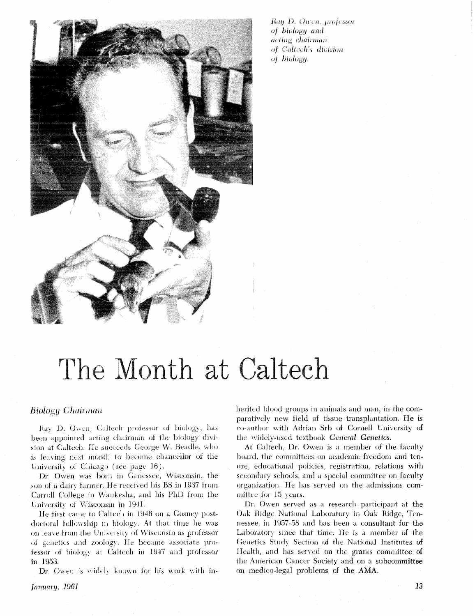

Ray D. Owen, professor of biology and acting chairman of Caltech's division of biology.

# The Month at Caltech

# Biology Chairman

Rav D. Owen, Caltech professor of biology, has been appointed acting chairman of the biology division at Caltech. He succeeds George W. Beadle, who is leaving next month to become chancellor of the University of Chicago (see page 16).

Dr. Owen was born in Genessee, Wisconsin, the son of a dairy farmer. He received his BS in 1937 from Carroll College in Waukesha, and his PhD from the University of Wisconsin in 1941.

He first came to Caltech in 1946 on a Gosney postdoctoral fellowship in biology. At that time he was on leave from the University of Wisconsin as professor of genetics and zoology. He became associate professor of biology at Caltech in 1947 and professor in 1953.

Dr. Owen is widely known for his work with in-

herited blood groups in animals and man, in the comparatively new field of tissue transplantation. He is co-author with Adrian Srb of Cornell University of the widely-used textbook General Genetics.

At Caltech, Dr. Owen is a member of the faculty board, the committees on academic freedom and tenure, educational policies, registration, relations with secondary schools, and a special committee on faculty organization. He has served on the admissions committee for 15 years.

Dr. Owen served as a research participant at the Oak Ridge National Laboratory in Oak Ridge, Tennessee, in 1957-58 and has been a consultant for the Laboratory since that time. He is a member of the Genetics Study Section of the National Institutes of Health, and has served on the grants committee of the American Cancer Society and on a subcommittee on medico-legal problems of the AMA.

January, 1961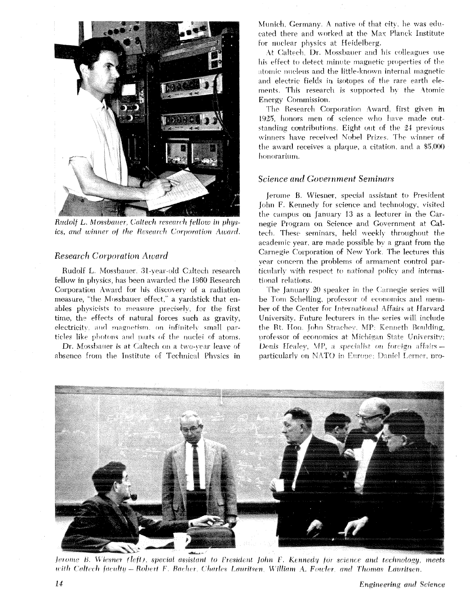

Rudolf L. Mossbauer, Caltech research fellow in physics, and winner of the Research Corporation Award.

# **Research Corporation Award**

Rudolf L. Mossbauer, 31-year-old Caltech research fellow in physics, has been awarded the 1960 Research Corporation Award for his discovery of a radiation measure, "the Mossbauer effect," a yardstick that enables physicists to measure precisely, for the first time, the effects of natural forces such as gravity, electricity, and magnetism, on infinitely small particles like photons and parts of the nuclei of atoms.

Dr. Mossbatter is at Caltech on a two-vear leave of absence from the Institute of Technical Physics in

Munich. Germany. A native of that city, he was educated there and worked at the Max Planck Institute for nuclear physics at Heidelberg.

At Caltech, Dr. Mossbatter and his colleagues use his effect to detect minute magnetic properties of the atomic nucleus and the little-known internal magnetic and electric fields in isotopes of the rare earth elements. This research is supported by the Atomic Energy Commission.

The Research Corporation Award, first given in 1925, honors men of science who have made outstanding contributions. Eight out of the 24 previous winners have received Nobel Prizes. The winner of the award receives a plaque, a citation, and a \$5,000 honorarium.

#### **Science and Government Seminars**

Jerome B. Wiesner, special assistant to President John F. Kennedy for science and technology, visited the campus on January 13 as a lecturer in the Carnegie Program on Science and Government at Caltech. These seminars, held weekly throughout the academic year, are made possible by a grant from the Carnegie Corporation of New York. The lectures this year concern the problems of armament control particularly with respect to national policy and international relations.

The January 20 speaker in the Carnegie series will be Tom Schelling, professor of economics and member of the Center for International Affairs at Harvard University. Future lecturers in the series will include the Rt. Hon. John Strachev, MP: Kenneth Boulding, professor of economics at Michigan State University: Denis Healey, MP, a specialist on foreign affairs particularly on NATO in Europe; Daniel Lerner, pro-



Jerome B. Wiesner (left), special assistant to President John F. Kennedy for science and technology, meets with Caltech faculty – Robert F. Bacher, Charles Lauritsen, William A. Fowler, and Thomas Lauritsen.